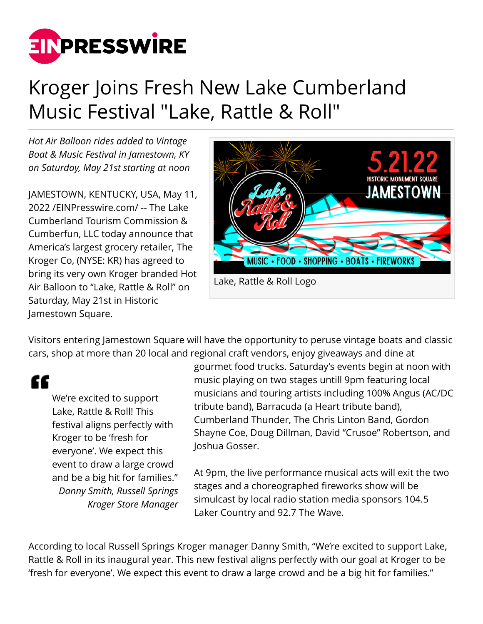

## Kroger Joins Fresh New Lake Cumberland Music Festival "Lake, Rattle & Roll"

*Hot Air Balloon rides added to Vintage Boat & Music Festival in Jamestown, KY on Saturday, May 21st starting at noon*

JAMESTOWN, KENTUCKY, USA, May 11, 2022 /[EINPresswire.com](http://www.einpresswire.com)/ -- The Lake Cumberland Tourism Commission & Cumberfun, LLC today announce that America's largest grocery retailer, The Kroger Co, (NYSE: KR) has agreed to bring its very own Kroger branded Hot Air Balloon to "Lake, Rattle & Roll" on Saturday, May 21st in Historic Jamestown Square.



Visitors entering Jamestown Square will have the opportunity to peruse vintage boats and classic cars, shop at more than 20 local and regional craft vendors, enjoy giveaways and dine at

££

We're excited to support Lake, Rattle & Roll! This festival aligns perfectly with Kroger to be 'fresh for everyone'. We expect this event to draw a large crowd and be a big hit for families." *Danny Smith, Russell Springs Kroger Store Manager*

gourmet food trucks. Saturday's events begin at noon with music playing on two stages untill 9pm featuring local musicians and touring artists including 100% Angus (AC/DC tribute band), Barracuda (a Heart tribute band), Cumberland Thunder, The Chris Linton Band, Gordon Shayne Coe, Doug Dillman, David "Crusoe" Robertson, and Joshua Gosser.

At 9pm, the live performance musical acts will exit the two stages and a choreographed fireworks show will be simulcast by local radio station media sponsors 104.5 Laker Country and 92.7 The Wave.

According to local Russell Springs Kroger manager Danny Smith, "We're excited to support Lake, Rattle & Roll in its inaugural year. This new festival aligns perfectly with our goal at Kroger to be 'fresh for everyone'. We expect this event to draw a large crowd and be a big hit for families."